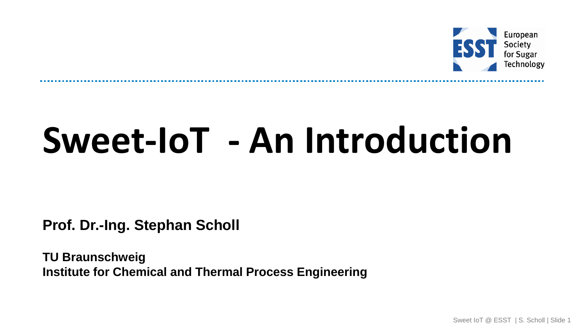

# **Sweet-IoT - An Introduction**

**Prof. Dr.-Ing. Stephan Scholl**

**TU Braunschweig Institute for Chemical and Thermal Process Engineering**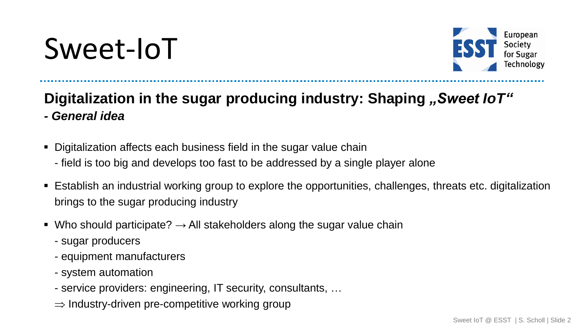## Sweet-IoT



#### **Digitalization** in the sugar producing industry: Shaping "Sweet IoT" *- General idea*

- Digitalization affects each business field in the sugar value chain
	- field is too big and develops too fast to be addressed by a single player alone
- Establish an industrial working group to explore the opportunities, challenges, threats etc. digitalization brings to the sugar producing industry
- Who should participate?  $\rightarrow$  All stakeholders along the sugar value chain
	- sugar producers
	- equipment manufacturers
	- system automation
	- service providers: engineering, IT security, consultants, …
	- $\Rightarrow$  Industry-driven pre-competitive working group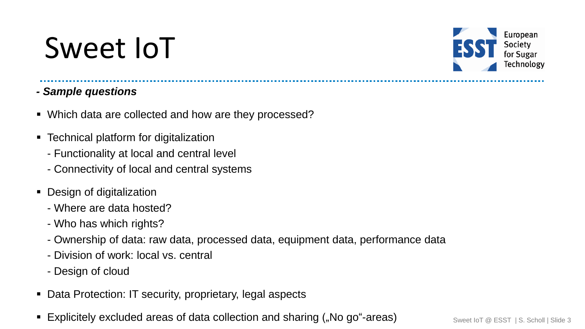### Sweet IoT



- *- Sample questions*
- Which data are collected and how are they processed?
- Technical platform for digitalization
	- Functionality at local and central level
	- Connectivity of local and central systems
- Design of digitalization
	- Where are data hosted?
	- Who has which rights?
	- Ownership of data: raw data, processed data, equipment data, performance data
	- Division of work: local vs. central
	- Design of cloud
- Data Protection: IT security, proprietary, legal aspects
- Explicitely excluded areas of data collection and sharing ("No go"-areas) Sweet IoT @ ESST | S. Scholl | Slide 3